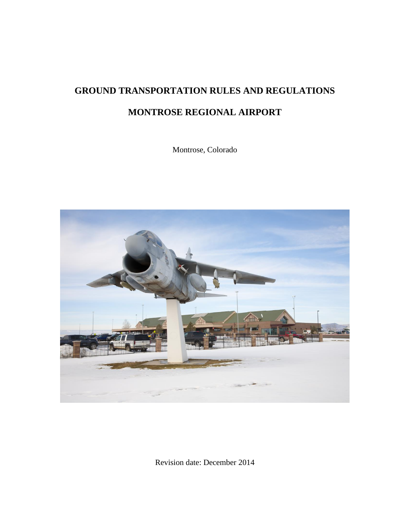# **GROUND TRANSPORTATION RULES AND REGULATIONS MONTROSE REGIONAL AIRPORT**

Montrose, Colorado



Revision date: December 2014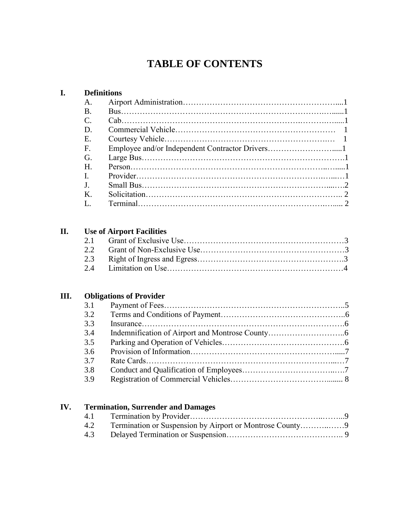## **TABLE OF CONTENTS**

#### **I. Definitions**

| Α.                    |  |
|-----------------------|--|
| <b>B</b> .            |  |
| $\mathcal{C}_{\cdot}$ |  |
| D.                    |  |
| E.                    |  |
| F.                    |  |
| G.                    |  |
| H                     |  |
| $\mathbf{I}$ .        |  |
| $\mathbf{J}$ .        |  |
| K.                    |  |
| L.                    |  |

## **II. Use of Airport Facilities**

## **III. Obligations of Provider**

| 3.1 |                        |  |
|-----|------------------------|--|
| 3.2 |                        |  |
| 3.3 | $In surface \dots 166$ |  |
| 3.4 |                        |  |
| 3.5 |                        |  |
| 3.6 |                        |  |
| 3.7 |                        |  |
| 3.8 |                        |  |
| 3.9 |                        |  |
|     |                        |  |

## **IV. Termination, Surrender and Damages**

| 4.3 |  |
|-----|--|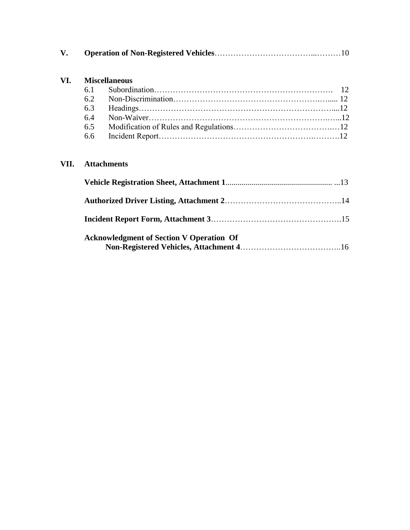|--|--|--|

## **VI. Miscellaneous**

| 6.2 |  |
|-----|--|
|     |  |
|     |  |
| 6.5 |  |
|     |  |

## **VII. Attachments**

| <b>Acknowledgment of Section V Operation Of</b> |  |
|-------------------------------------------------|--|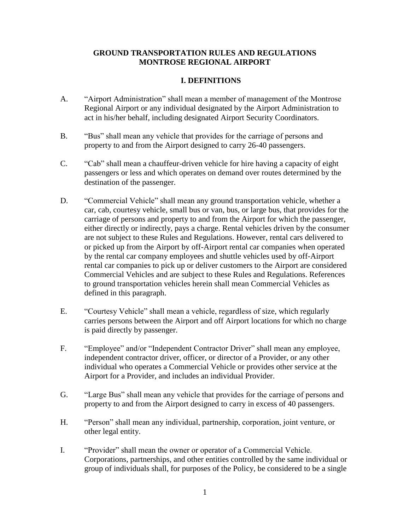#### **GROUND TRANSPORTATION RULES AND REGULATIONS MONTROSE REGIONAL AIRPORT**

#### **I. DEFINITIONS**

- A. "Airport Administration" shall mean a member of management of the Montrose Regional Airport or any individual designated by the Airport Administration to act in his/her behalf, including designated Airport Security Coordinators.
- B. "Bus" shall mean any vehicle that provides for the carriage of persons and property to and from the Airport designed to carry 26-40 passengers.
- C. "Cab" shall mean a chauffeur-driven vehicle for hire having a capacity of eight passengers or less and which operates on demand over routes determined by the destination of the passenger.
- D. "Commercial Vehicle" shall mean any ground transportation vehicle, whether a car, cab, courtesy vehicle, small bus or van, bus, or large bus, that provides for the carriage of persons and property to and from the Airport for which the passenger, either directly or indirectly, pays a charge. Rental vehicles driven by the consumer are not subject to these Rules and Regulations. However, rental cars delivered to or picked up from the Airport by off-Airport rental car companies when operated by the rental car company employees and shuttle vehicles used by off-Airport rental car companies to pick up or deliver customers to the Airport are considered Commercial Vehicles and are subject to these Rules and Regulations. References to ground transportation vehicles herein shall mean Commercial Vehicles as defined in this paragraph.
- E. "Courtesy Vehicle" shall mean a vehicle, regardless of size, which regularly carries persons between the Airport and off Airport locations for which no charge is paid directly by passenger.
- F. "Employee" and/or "Independent Contractor Driver" shall mean any employee, independent contractor driver, officer, or director of a Provider, or any other individual who operates a Commercial Vehicle or provides other service at the Airport for a Provider, and includes an individual Provider.
- G. "Large Bus" shall mean any vehicle that provides for the carriage of persons and property to and from the Airport designed to carry in excess of 40 passengers.
- H. "Person" shall mean any individual, partnership, corporation, joint venture, or other legal entity.
- I. "Provider" shall mean the owner or operator of a Commercial Vehicle. Corporations, partnerships, and other entities controlled by the same individual or group of individuals shall, for purposes of the Policy, be considered to be a single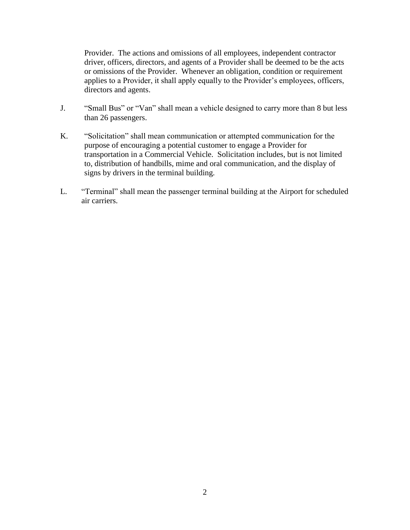Provider. The actions and omissions of all employees, independent contractor driver, officers, directors, and agents of a Provider shall be deemed to be the acts or omissions of the Provider. Whenever an obligation, condition or requirement applies to a Provider, it shall apply equally to the Provider's employees, officers, directors and agents.

- J. "Small Bus" or "Van" shall mean a vehicle designed to carry more than 8 but less than 26 passengers.
- K. "Solicitation" shall mean communication or attempted communication for the purpose of encouraging a potential customer to engage a Provider for transportation in a Commercial Vehicle. Solicitation includes, but is not limited to, distribution of handbills, mime and oral communication, and the display of signs by drivers in the terminal building.
- L. "Terminal" shall mean the passenger terminal building at the Airport for scheduled air carriers.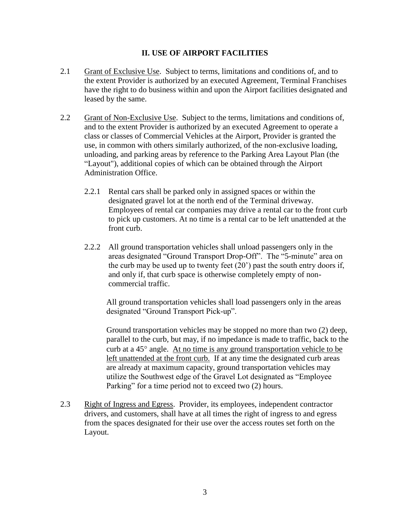#### **II. USE OF AIRPORT FACILITIES**

- 2.1 Grant of Exclusive Use. Subject to terms, limitations and conditions of, and to the extent Provider is authorized by an executed Agreement, Terminal Franchises have the right to do business within and upon the Airport facilities designated and leased by the same.
- 2.2 Grant of Non-Exclusive Use. Subject to the terms, limitations and conditions of, and to the extent Provider is authorized by an executed Agreement to operate a class or classes of Commercial Vehicles at the Airport, Provider is granted the use, in common with others similarly authorized, of the non-exclusive loading, unloading, and parking areas by reference to the Parking Area Layout Plan (the "Layout"), additional copies of which can be obtained through the Airport Administration Office.
	- 2.2.1 Rental cars shall be parked only in assigned spaces or within the designated gravel lot at the north end of the Terminal driveway. Employees of rental car companies may drive a rental car to the front curb to pick up customers. At no time is a rental car to be left unattended at the front curb.
	- 2.2.2 All ground transportation vehicles shall unload passengers only in the areas designated "Ground Transport Drop-Off". The "5-minute" area on the curb may be used up to twenty feet (20') past the south entry doors if, and only if, that curb space is otherwise completely empty of noncommercial traffic.

All ground transportation vehicles shall load passengers only in the areas designated "Ground Transport Pick-up".

Ground transportation vehicles may be stopped no more than two (2) deep, parallel to the curb, but may, if no impedance is made to traffic, back to the curb at a  $45^\circ$  angle. At no time is any ground transportation vehicle to be left unattended at the front curb. If at any time the designated curb areas are already at maximum capacity, ground transportation vehicles may utilize the Southwest edge of the Gravel Lot designated as "Employee Parking" for a time period not to exceed two  $(2)$  hours.

2.3 Right of Ingress and Egress. Provider, its employees, independent contractor drivers, and customers, shall have at all times the right of ingress to and egress from the spaces designated for their use over the access routes set forth on the Layout.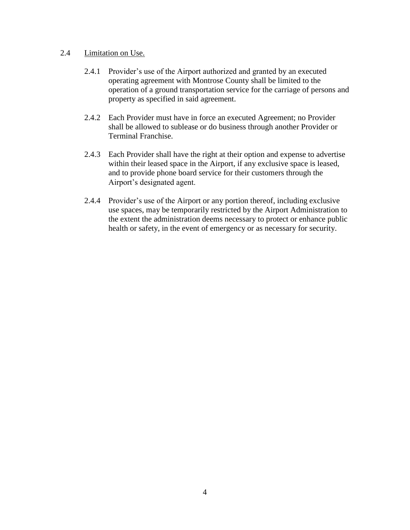#### 2.4 Limitation on Use.

- 2.4.1 Provider's use of the Airport authorized and granted by an executed operating agreement with Montrose County shall be limited to the operation of a ground transportation service for the carriage of persons and property as specified in said agreement.
- 2.4.2 Each Provider must have in force an executed Agreement; no Provider shall be allowed to sublease or do business through another Provider or Terminal Franchise.
- 2.4.3 Each Provider shall have the right at their option and expense to advertise within their leased space in the Airport, if any exclusive space is leased, and to provide phone board service for their customers through the Airport's designated agent.
- 2.4.4 Provider's use of the Airport or any portion thereof, including exclusive use spaces, may be temporarily restricted by the Airport Administration to the extent the administration deems necessary to protect or enhance public health or safety, in the event of emergency or as necessary for security.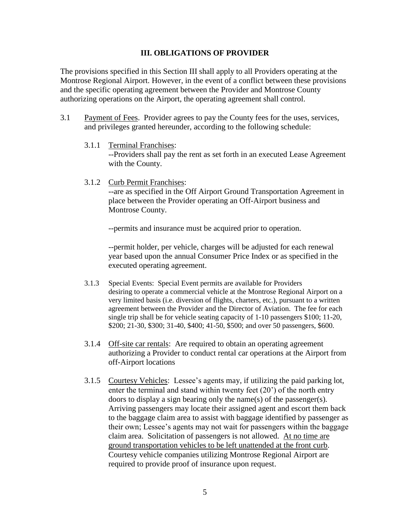#### **III. OBLIGATIONS OF PROVIDER**

The provisions specified in this Section III shall apply to all Providers operating at the Montrose Regional Airport. However, in the event of a conflict between these provisions and the specific operating agreement between the Provider and Montrose County authorizing operations on the Airport, the operating agreement shall control.

- 3.1 Payment of Fees. Provider agrees to pay the County fees for the uses, services, and privileges granted hereunder, according to the following schedule:
	- 3.1.1 Terminal Franchises:

--Providers shall pay the rent as set forth in an executed Lease Agreement with the County.

3.1.2 Curb Permit Franchises:

--are as specified in the Off Airport Ground Transportation Agreement in place between the Provider operating an Off-Airport business and Montrose County.

--permits and insurance must be acquired prior to operation.

--permit holder, per vehicle, charges will be adjusted for each renewal year based upon the annual Consumer Price Index or as specified in the executed operating agreement.

- 3.1.3 Special Events: Special Event permits are available for Providers desiring to operate a commercial vehicle at the Montrose Regional Airport on a very limited basis (i.e. diversion of flights, charters, etc.), pursuant to a written agreement between the Provider and the Director of Aviation. The fee for each single trip shall be for vehicle seating capacity of 1-10 passengers \$100; 11-20, \$200; 21-30, \$300; 31-40, \$400; 41-50, \$500; and over 50 passengers, \$600.
- 3.1.4 Off-site car rentals: Are required to obtain an operating agreement authorizing a Provider to conduct rental car operations at the Airport from off-Airport locations
- 3.1.5 Courtesy Vehicles: Lessee's agents may, if utilizing the paid parking lot, enter the terminal and stand within twenty feet (20') of the north entry doors to display a sign bearing only the name(s) of the passenger(s). Arriving passengers may locate their assigned agent and escort them back to the baggage claim area to assist with baggage identified by passenger as their own; Lessee's agents may not wait for passengers within the baggage claim area. Solicitation of passengers is not allowed. At no time are ground transportation vehicles to be left unattended at the front curb. Courtesy vehicle companies utilizing Montrose Regional Airport are required to provide proof of insurance upon request.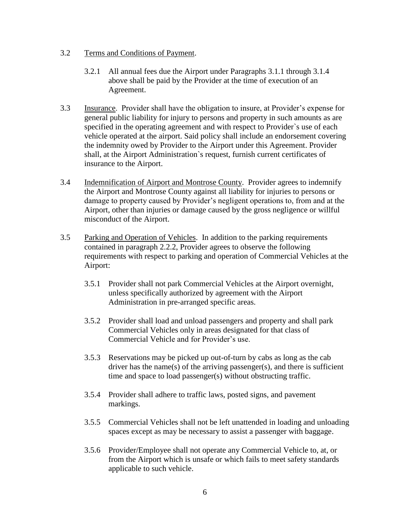- 3.2 Terms and Conditions of Payment.
	- 3.2.1 All annual fees due the Airport under Paragraphs 3.1.1 through 3.1.4 above shall be paid by the Provider at the time of execution of an Agreement.
- 3.3 Insurance. Provider shall have the obligation to insure, at Provider's expense for general public liability for injury to persons and property in such amounts as are specified in the operating agreement and with respect to Provider`s use of each vehicle operated at the airport. Said policy shall include an endorsement covering the indemnity owed by Provider to the Airport under this Agreement. Provider shall, at the Airport Administration`s request, furnish current certificates of insurance to the Airport.
- 3.4 Indemnification of Airport and Montrose County. Provider agrees to indemnify the Airport and Montrose County against all liability for injuries to persons or damage to property caused by Provider's negligent operations to, from and at the Airport, other than injuries or damage caused by the gross negligence or willful misconduct of the Airport.
- 3.5 Parking and Operation of Vehicles. In addition to the parking requirements contained in paragraph 2.2.2, Provider agrees to observe the following requirements with respect to parking and operation of Commercial Vehicles at the Airport:
	- 3.5.1 Provider shall not park Commercial Vehicles at the Airport overnight, unless specifically authorized by agreement with the Airport Administration in pre-arranged specific areas.
	- 3.5.2 Provider shall load and unload passengers and property and shall park Commercial Vehicles only in areas designated for that class of Commercial Vehicle and for Provider's use.
	- 3.5.3 Reservations may be picked up out-of-turn by cabs as long as the cab driver has the name(s) of the arriving passenger(s), and there is sufficient time and space to load passenger(s) without obstructing traffic.
	- 3.5.4 Provider shall adhere to traffic laws, posted signs, and pavement markings.
	- 3.5.5 Commercial Vehicles shall not be left unattended in loading and unloading spaces except as may be necessary to assist a passenger with baggage.
	- 3.5.6 Provider/Employee shall not operate any Commercial Vehicle to, at, or from the Airport which is unsafe or which fails to meet safety standards applicable to such vehicle.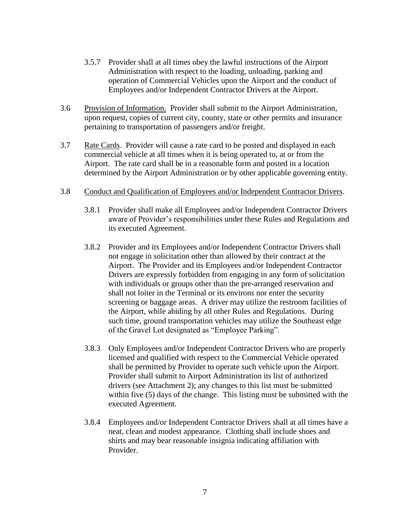- 3.5.7 Provider shall at all times obey the lawful instructions of the Airport Administration with respect to the loading, unloading, parking and operation of Commercial Vehicles upon the Airport and the conduct of Employees and/or Independent Contractor Drivers at the Airport.
- 3.6 Provision of Information. Provider shall submit to the Airport Administration, upon request, copies of current city, county, state or other permits and insurance pertaining to transportation of passengers and/or freight.
- 3.7 Rate Cards. Provider will cause a rate card to be posted and displayed in each commercial vehicle at all times when it is being operated to, at or from the Airport. The rate card shall be in a reasonable form and posted in a location determined by the Airport Administration or by other applicable governing entity.

#### 3.8 Conduct and Qualification of Employees and/or Independent Contractor Drivers.

- 3.8.1 Provider shall make all Employees and/or Independent Contractor Drivers aware of Provider's responsibilities under these Rules and Regulations and its executed Agreement.
- 3.8.2 Provider and its Employees and/or Independent Contractor Drivers shall not engage in solicitation other than allowed by their contract at the Airport. The Provider and its Employees and/or Independent Contractor Drivers are expressly forbidden from engaging in any form of solicitation with individuals or groups other than the pre-arranged reservation and shall not loiter in the Terminal or its environs nor enter the security screening or baggage areas. A driver may utilize the restroom facilities of the Airport, while abiding by all other Rules and Regulations. During such time, ground transportation vehicles may utilize the Southeast edge of the Gravel Lot designated as "Employee Parking".
- 3.8.3 Only Employees and/or Independent Contractor Drivers who are properly licensed and qualified with respect to the Commercial Vehicle operated shall be permitted by Provider to operate such vehicle upon the Airport. Provider shall submit to Airport Administration its list of authorized drivers (see Attachment 2); any changes to this list must be submitted within five (5) days of the change. This listing must be submitted with the executed Agreement.
- 3.8.4 Employees and/or Independent Contractor Drivers shall at all times have a neat, clean and modest appearance. Clothing shall include shoes and shirts and may bear reasonable insignia indicating affiliation with Provider.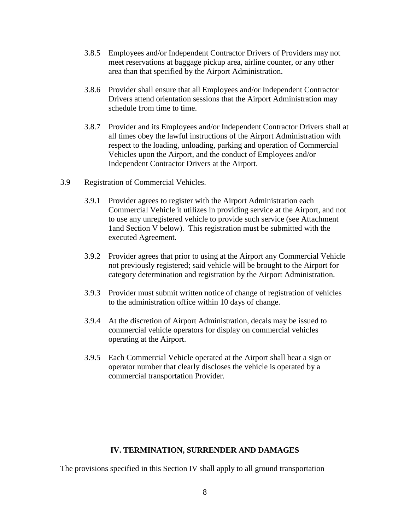- 3.8.5 Employees and/or Independent Contractor Drivers of Providers may not meet reservations at baggage pickup area, airline counter, or any other area than that specified by the Airport Administration.
- 3.8.6 Provider shall ensure that all Employees and/or Independent Contractor Drivers attend orientation sessions that the Airport Administration may schedule from time to time.
- 3.8.7 Provider and its Employees and/or Independent Contractor Drivers shall at all times obey the lawful instructions of the Airport Administration with respect to the loading, unloading, parking and operation of Commercial Vehicles upon the Airport, and the conduct of Employees and/or Independent Contractor Drivers at the Airport.
- 3.9 Registration of Commercial Vehicles.
	- 3.9.1 Provider agrees to register with the Airport Administration each Commercial Vehicle it utilizes in providing service at the Airport, and not to use any unregistered vehicle to provide such service (see Attachment 1and Section V below). This registration must be submitted with the executed Agreement.
	- 3.9.2 Provider agrees that prior to using at the Airport any Commercial Vehicle not previously registered; said vehicle will be brought to the Airport for category determination and registration by the Airport Administration.
	- 3.9.3 Provider must submit written notice of change of registration of vehicles to the administration office within 10 days of change.
	- 3.9.4 At the discretion of Airport Administration, decals may be issued to commercial vehicle operators for display on commercial vehicles operating at the Airport.
	- 3.9.5 Each Commercial Vehicle operated at the Airport shall bear a sign or operator number that clearly discloses the vehicle is operated by a commercial transportation Provider.

#### **IV. TERMINATION, SURRENDER AND DAMAGES**

The provisions specified in this Section IV shall apply to all ground transportation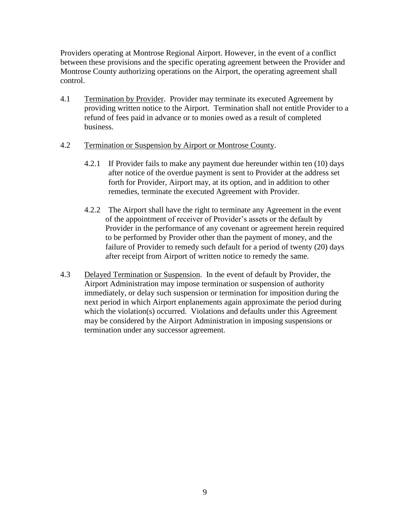Providers operating at Montrose Regional Airport. However, in the event of a conflict between these provisions and the specific operating agreement between the Provider and Montrose County authorizing operations on the Airport, the operating agreement shall control.

- 4.1 Termination by Provider. Provider may terminate its executed Agreement by providing written notice to the Airport. Termination shall not entitle Provider to a refund of fees paid in advance or to monies owed as a result of completed business.
- 4.2 Termination or Suspension by Airport or Montrose County.
	- 4.2.1 If Provider fails to make any payment due hereunder within ten (10) days after notice of the overdue payment is sent to Provider at the address set forth for Provider, Airport may, at its option, and in addition to other remedies, terminate the executed Agreement with Provider.
	- 4.2.2 The Airport shall have the right to terminate any Agreement in the event of the appointment of receiver of Provider's assets or the default by Provider in the performance of any covenant or agreement herein required to be performed by Provider other than the payment of money, and the failure of Provider to remedy such default for a period of twenty (20) days after receipt from Airport of written notice to remedy the same.
- 4.3 Delayed Termination or Suspension. In the event of default by Provider, the Airport Administration may impose termination or suspension of authority immediately, or delay such suspension or termination for imposition during the next period in which Airport enplanements again approximate the period during which the violation(s) occurred. Violations and defaults under this Agreement may be considered by the Airport Administration in imposing suspensions or termination under any successor agreement.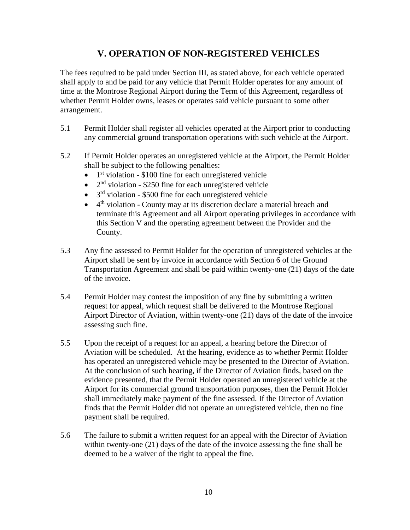## **V. OPERATION OF NON-REGISTERED VEHICLES**

The fees required to be paid under Section III, as stated above, for each vehicle operated shall apply to and be paid for any vehicle that Permit Holder operates for any amount of time at the Montrose Regional Airport during the Term of this Agreement, regardless of whether Permit Holder owns, leases or operates said vehicle pursuant to some other arrangement.

- 5.1 Permit Holder shall register all vehicles operated at the Airport prior to conducting any commercial ground transportation operations with such vehicle at the Airport.
- 5.2 If Permit Holder operates an unregistered vehicle at the Airport, the Permit Holder shall be subject to the following penalties:
	- $\bullet$  $1<sup>st</sup>$  violation - \$100 fine for each unregistered vehicle
	- $\bullet$  2<sup>nd</sup> violation \$250 fine for each unregistered vehicle
	- $\bullet$  3<sup>rd</sup> violation \$500 fine for each unregistered vehicle
	- 4<sup>th</sup> violation County may at its discretion declare a material breach and terminate this Agreement and all Airport operating privileges in accordance with this Section V and the operating agreement between the Provider and the County.
- 5.3 Any fine assessed to Permit Holder for the operation of unregistered vehicles at the Airport shall be sent by invoice in accordance with Section 6 of the Ground Transportation Agreement and shall be paid within twenty-one (21) days of the date of the invoice.
- 5.4 Permit Holder may contest the imposition of any fine by submitting a written request for appeal, which request shall be delivered to the Montrose Regional Airport Director of Aviation, within twenty-one (21) days of the date of the invoice assessing such fine.
- 5.5 Upon the receipt of a request for an appeal, a hearing before the Director of Aviation will be scheduled. At the hearing, evidence as to whether Permit Holder has operated an unregistered vehicle may be presented to the Director of Aviation. At the conclusion of such hearing, if the Director of Aviation finds, based on the evidence presented, that the Permit Holder operated an unregistered vehicle at the Airport for its commercial ground transportation purposes, then the Permit Holder shall immediately make payment of the fine assessed. If the Director of Aviation finds that the Permit Holder did not operate an unregistered vehicle, then no fine payment shall be required.
- 5.6 The failure to submit a written request for an appeal with the Director of Aviation within twenty-one (21) days of the date of the invoice assessing the fine shall be deemed to be a waiver of the right to appeal the fine.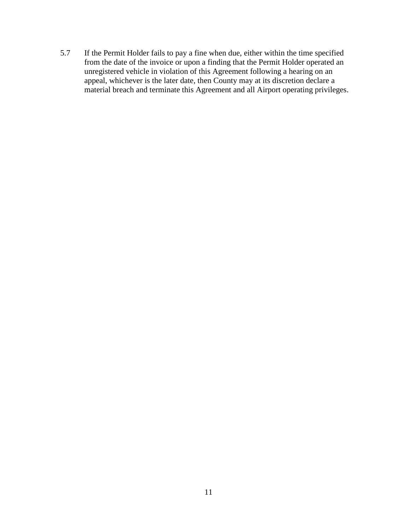5.7 If the Permit Holder fails to pay a fine when due, either within the time specified from the date of the invoice or upon a finding that the Permit Holder operated an unregistered vehicle in violation of this Agreement following a hearing on an appeal, whichever is the later date, then County may at its discretion declare a material breach and terminate this Agreement and all Airport operating privileges.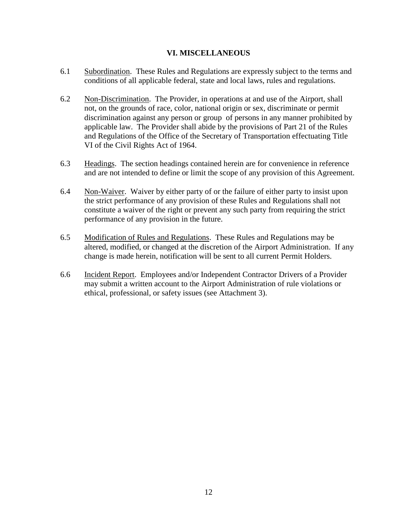#### **VI. MISCELLANEOUS**

- 6.1 Subordination. These Rules and Regulations are expressly subject to the terms and conditions of all applicable federal, state and local laws, rules and regulations.
- 6.2 Non-Discrimination. The Provider, in operations at and use of the Airport, shall not, on the grounds of race, color, national origin or sex, discriminate or permit discrimination against any person or group of persons in any manner prohibited by applicable law. The Provider shall abide by the provisions of Part 21 of the Rules and Regulations of the Office of the Secretary of Transportation effectuating Title VI of the Civil Rights Act of 1964.
- 6.3 Headings. The section headings contained herein are for convenience in reference and are not intended to define or limit the scope of any provision of this Agreement.
- 6.4 Non-Waiver. Waiver by either party of or the failure of either party to insist upon the strict performance of any provision of these Rules and Regulations shall not constitute a waiver of the right or prevent any such party from requiring the strict performance of any provision in the future.
- 6.5 Modification of Rules and Regulations. These Rules and Regulations may be altered, modified, or changed at the discretion of the Airport Administration. If any change is made herein, notification will be sent to all current Permit Holders.
- 6.6 Incident Report. Employees and/or Independent Contractor Drivers of a Provider may submit a written account to the Airport Administration of rule violations or ethical, professional, or safety issues (see Attachment 3).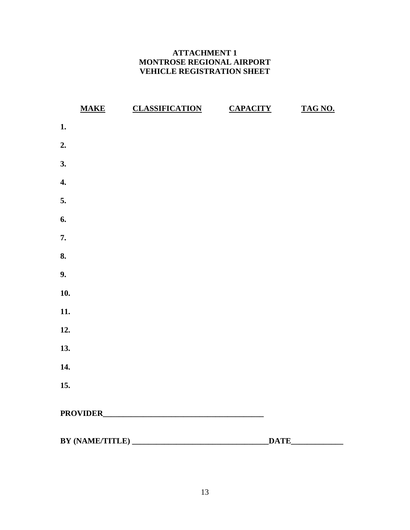## **ATTACHMENT 1 MONTROSE REGIONAL AIRPORT VEHICLE REGISTRATION SHEET**

|     | MAKE CLASSIFICATION | <b>CAPACITY</b> | TAG NO. |
|-----|---------------------|-----------------|---------|
| 1.  |                     |                 |         |
| 2.  |                     |                 |         |
| 3.  |                     |                 |         |
| 4.  |                     |                 |         |
| 5.  |                     |                 |         |
| 6.  |                     |                 |         |
| 7.  |                     |                 |         |
| 8.  |                     |                 |         |
| 9.  |                     |                 |         |
| 10. |                     |                 |         |
| 11. |                     |                 |         |
| 12. |                     |                 |         |
| 13. |                     |                 |         |
| 14. |                     |                 |         |
| 15. |                     |                 |         |
|     |                     |                 |         |
|     |                     |                 |         |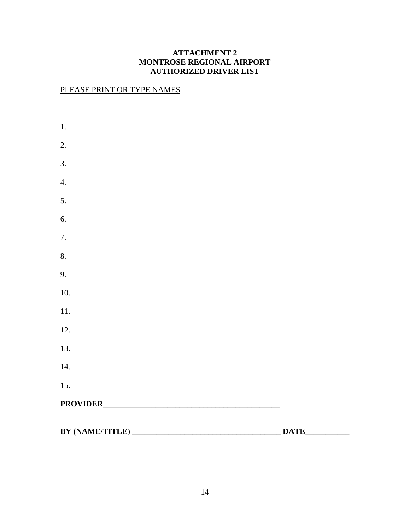## **ATTACHMENT 2 MONTROSE REGIONAL AIRPORT AUTHORIZED DRIVER LIST**

## PLEASE PRINT OR TYPE NAMES

| $1.$             |  |
|------------------|--|
| 2.               |  |
| 3.               |  |
| $\overline{4}$ . |  |
| 5.               |  |
| 6.               |  |
| 7.               |  |
| 8.               |  |
| 9.               |  |
| 10.              |  |
| 11.              |  |
| 12.              |  |
| 13.              |  |
| 14.              |  |
| 15.              |  |
|                  |  |
| BY (NAME/TITLE)  |  |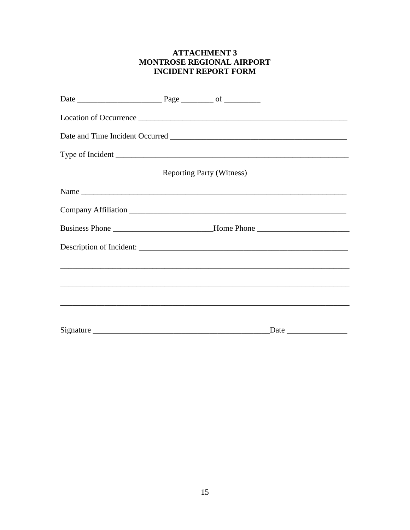#### **ATTACHMENT 3** MONTROSE REGIONAL AIRPORT **INCIDENT REPORT FORM**

|                                                                                  | <b>Reporting Party (Witness)</b> |  |
|----------------------------------------------------------------------------------|----------------------------------|--|
|                                                                                  |                                  |  |
|                                                                                  |                                  |  |
| Business Phone ________________________________Home Phone ______________________ |                                  |  |
|                                                                                  |                                  |  |
|                                                                                  |                                  |  |
|                                                                                  |                                  |  |
|                                                                                  |                                  |  |
|                                                                                  |                                  |  |
|                                                                                  |                                  |  |